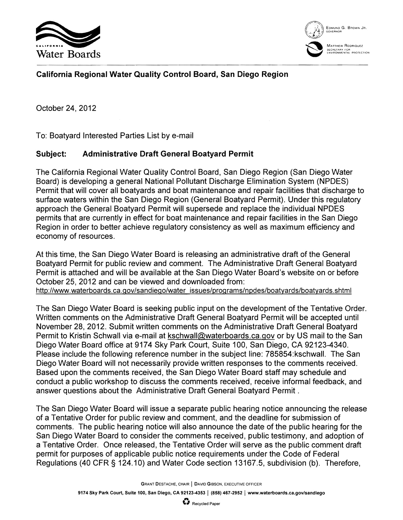



## **California Regional Water Quality Control Board, San Diego Region**

October 24, 2012

To: Boatyard Interested Parties List by e-mail

## **Subject: Administrative Draft General Boatyard Permit**

The California Regional Water Quality Control Board, San Diego Region (San Diego Water Board) is developing a general National Pollutant Discharge Elimination System (NPDES) Permit that will cover all boatyards and boat maintenance and repair facilities that discharge to surface waters within the San Diego Region (General Boatyard Permit). Under this regulatory approach the General Boatyard Permit will supersede and replace the individual NPDES permits that are currently in effect for boat maintenance and repair facilities in the San Diego Region in order to better achieve regulatory consistency as well as maximum efficiency and economy of resources.

At this time, the San Diego Water Board is releasing an administrative draft of the General Boatyard Permit for public review and comment. The Administrative Draft General Boatyard Permit is attached and will be available at the San Diego Water Board's website on or before October 25,2012 and can be viewed and downloaded from:

http://www.waterboards.ca.gov/sandiego/water\_issues/programs/npdes/boatyards/boatyards.shtml

The San Diego Water Board is seeking public input on the development of the Tentative Order. Written comments on the Administrative Draft General Boatyard Permit will be accepted until November 28, 2012. Submit written comments on the Administrative Draft General Boatyard Permit to Kristin Schwall via e-mail at kschwall@waterboards.ca.gov or by US mail to the San Diego Water Board office at 9174 Sky Park Court, Suite 100, San Diego, CA 92123-4340. Please include the following reference number in the subject line: 785854:kschwall. The San Diego Water Board will not necessarily provide written responses to the comments received. Based upon the comments received, the San Diego Water Board staff may schedule and conduct a public workshop to discuss the comments received, receive informal feedback, and answer questions about the Administrative Draft General Boatyard Permit.

The San Diego Water Board will issue a separate public hearing notice announcing the release of a Tentative Order for public review and comment, and the deadline for submission of comments. The public hearing notice will also announce the date of the public hearing for the San Diego Water Board to consider the comments received, public testimony, and adoption of a Tentative Order. Once released, the Tentative Order will serve as the public comment draft permit for purposes of applicable public notice requirements under the Code of Federal Regulations (40 CFR § 124.10) and Water Code section 13167.5, subdivision (b). Therefore,